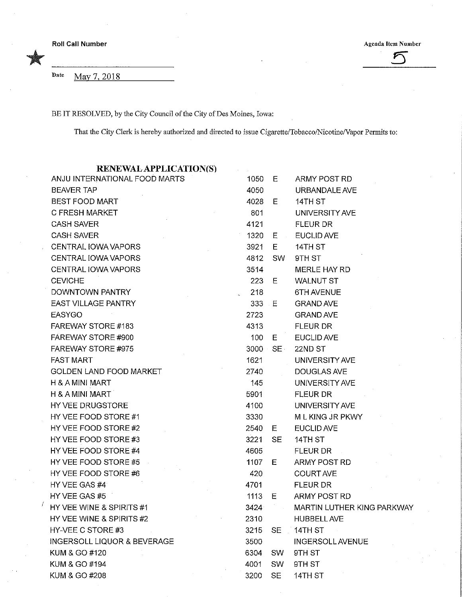Roll Call Number<br>
Agenda Item Number<br>
Samuel Call Number<br>
Samuel Call Number<br>
Samuel Call Number<br>
Samuel Call Number<br>
Samuel Call Number<br>
Samuel Call Number<br>
Samuel Call Number<br>
Samuel Call Number<br>
Samuel Call Number<br>
Samu

Date May 7, 2018

BE IT RESOLVED, by the City Council of the City of Des Moines, Iowa:

That the City Clerk is hereby authorized and directed to issue Cigarette/Tobacco/Nicotine/Vapor Permits to:

RENEWAL APPLICATION(S)

| ANJU INTERNATIONAL FOOD MARTS          | 1050    | Е         | ARMY POST RD               |
|----------------------------------------|---------|-----------|----------------------------|
| <b>BEAVER TAP</b>                      | 4050    |           | URBANDALE AVE              |
| BEST FOOD MART                         | 4028    | Е         | 14TH ST                    |
| C FRESH MARKET                         | 801     |           | UNIVERSITY AVE             |
| <b>CASH SAVER</b>                      | 4121    |           | FLEUR DR                   |
| <b>CASH SAVER</b>                      | 1320    | 日本        | <b>EUCLID AVE</b>          |
| CENTRAL IOWA VAPORS                    | 3921    | Е         | 14TH ST                    |
| CENTRAL IOWA VAPORS                    | 4812    | SW        | 9TH ST                     |
| CENTRAL IOWA VAPORS                    | 3514    |           | MERLE HAY RD               |
| <b>CEVICHE</b>                         | 223     | Е         | <b>WALNUT ST</b>           |
| DOWNTOWN PANTRY                        | 218     |           | 6TH AVENUE                 |
| <b>EAST VILLAGE PANTRY</b>             | 333 E   |           | <b>GRAND AVE</b>           |
| <b>EASYGO</b>                          | 2723    |           | <b>GRAND AVE</b>           |
| FAREWAY STORE #183                     | 4313    |           | <b>FLEUR DR</b>            |
| FAREWAY STORE #900                     | 100     | Е.        | <b>EUCLID AVE</b>          |
| FAREWAY STORE #975                     | 3000 SE |           | 22ND ST                    |
| <b>FAST MART</b>                       | 1621    |           | UNIVERSITY AVE             |
| <b>GOLDEN LAND FOOD MARKET</b>         | 2740    |           | <b>DOUGLAS AVE</b>         |
| H & A MINI MART                        | 145     |           | UNIVERSITY AVE             |
| <b>H &amp; A MINI MART</b>             | 5901    |           | FLEUR DR                   |
| HY VEE DRUGSTORE                       | 4100    |           | UNIVERSITY AVE             |
| HY VEE FOOD STORE #1                   | 3330    |           | M L KING JR PKWY           |
| HY VEE FOOD STORE #2                   | 2540    | E.        | <b>EUCLID AVE</b>          |
| HY VEE FOOD STORE #3                   | 3221    | SE        | 14TH ST                    |
| HY VEE FOOD STORE #4                   | 4605    |           | <b>FLEUR DR</b>            |
| HY VEE FOOD STORE #5                   | 1107    | E.        | ARMY POST RD               |
| HY VEE FOOD STORE #6                   | 420     |           | <b>COURT AVE</b>           |
| HY VEE GAS #4                          | 4701    |           | <b>FLEUR DR</b>            |
| HY VEE GAS #5                          | 1113    | E.        | ARMY POST RD               |
| HY VEE WINE & SPIRITS #1               | 3424    | $\sim$    | MARTIN LUTHER KING PARKWAY |
| HY VEE WINE & SPIRITS #2               | 2310    |           | <b>HUBBELL AVE</b>         |
| HY-VEE C STORE #3                      | 3215    | <b>SE</b> | 14TH ST                    |
| <b>INGERSOLL LIQUOR &amp; BEVERAGE</b> | 3500    |           | <b>INGERSOLL AVENUE</b>    |
| KUM & GO #120                          | 6304    | <b>SW</b> | 9TH ST                     |
| KUM & GO #194                          | 4001    | SW        | 9TH ST                     |
| KUM & GO #208                          | 3200    | <b>SE</b> | 14TH ST                    |